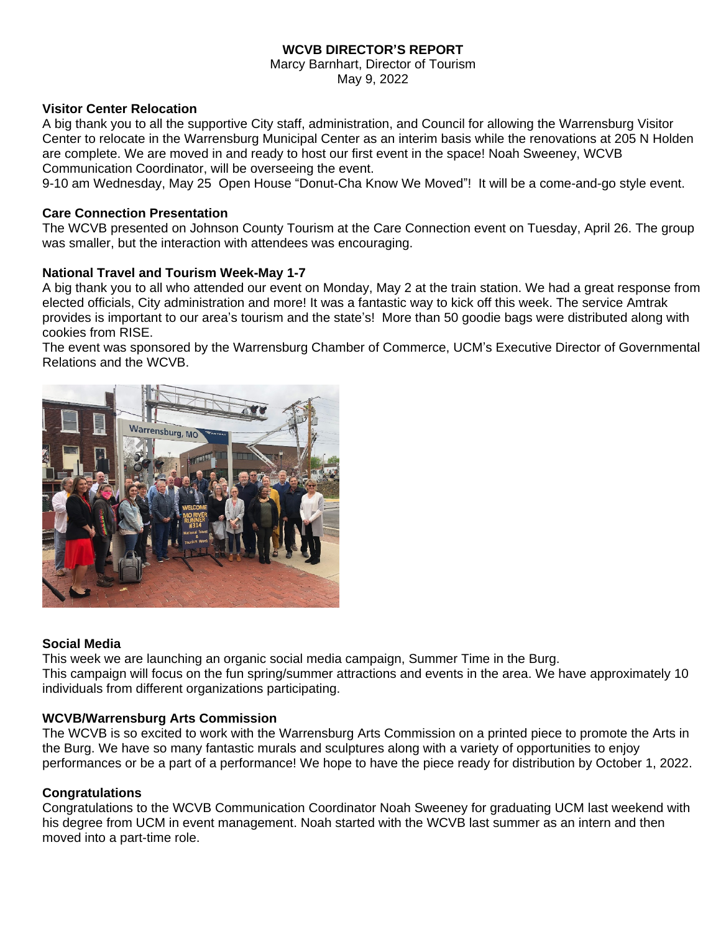# **WCVB DIRECTOR'S REPORT**

Marcy Barnhart, Director of Tourism May 9, 2022

### **Visitor Center Relocation**

A big thank you to all the supportive City staff, administration, and Council for allowing the Warrensburg Visitor Center to relocate in the Warrensburg Municipal Center as an interim basis while the renovations at 205 N Holden are complete. We are moved in and ready to host our first event in the space! Noah Sweeney, WCVB Communication Coordinator, will be overseeing the event.

9-10 am Wednesday, May 25 Open House "Donut-Cha Know We Moved"! It will be a come-and-go style event.

### **Care Connection Presentation**

The WCVB presented on Johnson County Tourism at the Care Connection event on Tuesday, April 26. The group was smaller, but the interaction with attendees was encouraging.

### **National Travel and Tourism Week-May 1-7**

A big thank you to all who attended our event on Monday, May 2 at the train station. We had a great response from elected officials, City administration and more! It was a fantastic way to kick off this week. The service Amtrak provides is important to our area's tourism and the state's! More than 50 goodie bags were distributed along with cookies from RISE.

The event was sponsored by the Warrensburg Chamber of Commerce, UCM's Executive Director of Governmental Relations and the WCVB.



#### **Social Media**

This week we are launching an organic social media campaign, Summer Time in the Burg. This campaign will focus on the fun spring/summer attractions and events in the area. We have approximately 10 individuals from different organizations participating.

# **WCVB/Warrensburg Arts Commission**

The WCVB is so excited to work with the Warrensburg Arts Commission on a printed piece to promote the Arts in the Burg. We have so many fantastic murals and sculptures along with a variety of opportunities to enjoy performances or be a part of a performance! We hope to have the piece ready for distribution by October 1, 2022.

# **Congratulations**

Congratulations to the WCVB Communication Coordinator Noah Sweeney for graduating UCM last weekend with his degree from UCM in event management. Noah started with the WCVB last summer as an intern and then moved into a part-time role.